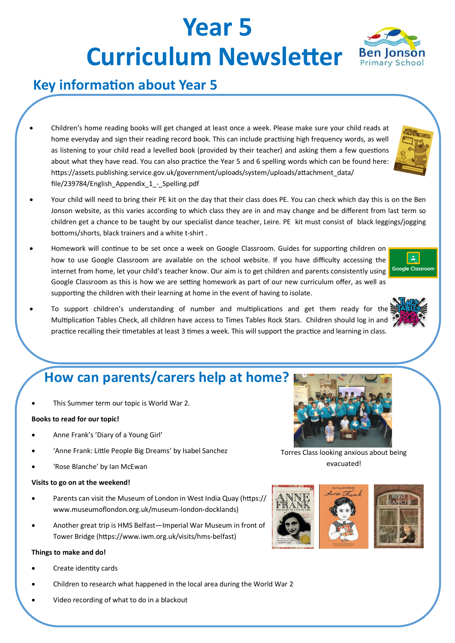# **Year 5 Curriculum Newsletter** Ben Jonson

# **Key information about Year 5**

- Children's home reading books will get changed at least once a week. Please make sure your child reads at home everyday and sign their reading record book. This can include practising high frequency words, as well as listening to your child read a levelled book (provided by their teacher) and asking them a few questions about what they have read. You can also practice the Year 5 and 6 spelling words which can be found here: https://assets.publishing.service.gov.uk/government/uploads/system/uploads/attachment\_data/ file/239784/English Appendix 1 - Spelling.pdf
- Your child will need to bring their PE kit on the day that their class does PE. You can check which day this is on the Ben Jonson website, as this varies according to which class they are in and may change and be different from last term so children get a chance to be taught by our specialist dance teacher, Leire. PE kit must consist of black leggings/jogging bottoms/shorts, black trainers and a white t-shirt .
- Homework will continue to be set once a week on Google Classroom. Guides for supporting children on how to use Google Classroom are available on the school website. If you have difficulty accessing the internet from home, let your child's teacher know. Our aim is to get children and parents consistently using Google Classroom as this is how we are setting homework as part of our new curriculum offer, as well as supporting the children with their learning at home in the event of having to isolate.
- To support children's understanding of number and multiplications and get them ready for the Multiplication Tables Check, all children have access to Times Tables Rock Stars. Children should log in and practice recalling their timetables at least 3 times a week. This will support the practice and learning in class.

# **How can parents/carers help at home?**

This Summer term our topic is World War 2.

## **Books to read for our topic!**

- Anne Frank's 'Diary of a Young Girl'
- 'Anne Frank: Little People Big Dreams' by Isabel Sanchez
- 'Rose Blanche' by Ian McEwan

### **Visits to go on at the weekend!**

- Parents can visit the Museum of London in West India Quay (https:// www.museumoflondon.org.uk/museum-london-docklands)
- Another great trip is HMS Belfast—Imperial War Museum in front of Tower Bridge (https://www.iwm.org.uk/visits/hms-belfast)

### **Things to make and do!**

- Create identity cards
- Children to research what happened in the local area during the World War 2
- Video recording of what to do in a blackout